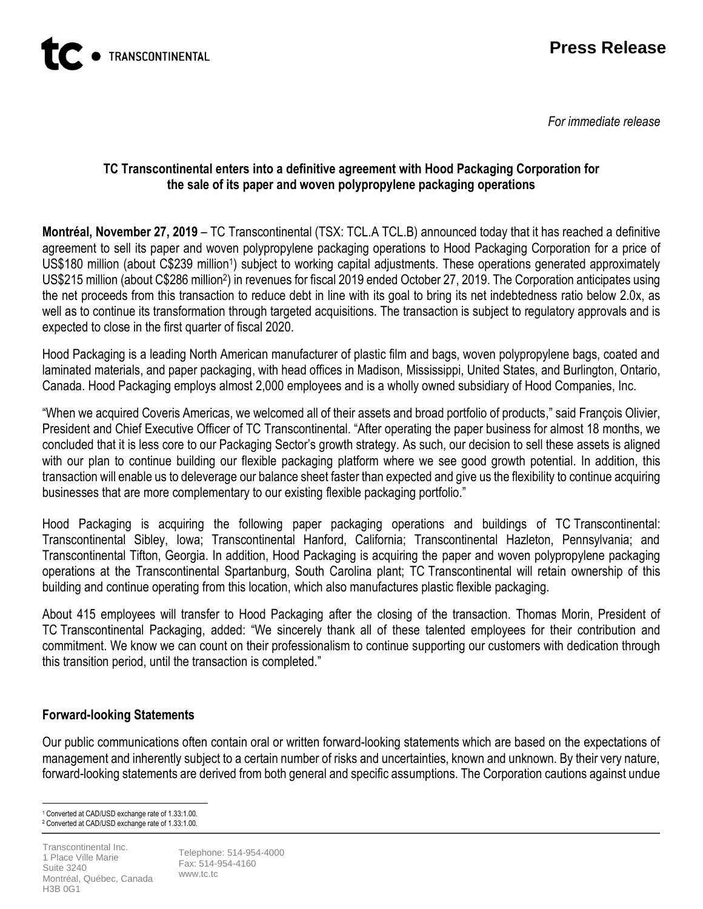

*For immediate release*

#### **TC Transcontinental enters into a definitive agreement with Hood Packaging Corporation for the sale of its paper and woven polypropylene packaging operations**

**Montréal, November 27, 2019** – TC Transcontinental (TSX: TCL.A TCL.B) announced today that it has reached a definitive agreement to sell its paper and woven polypropylene packaging operations to Hood Packaging Corporation for a price of US\$180 million (about C\$239 million<sup>1</sup>) subject to working capital adjustments. These operations generated approximately US\$215 million (about C\$286 million<sup>2</sup>) in revenues for fiscal 2019 ended October 27, 2019. The Corporation anticipates using the net proceeds from this transaction to reduce debt in line with its goal to bring its net indebtedness ratio below 2.0x, as well as to continue its transformation through targeted acquisitions. The transaction is subject to regulatory approvals and is expected to close in the first quarter of fiscal 2020.

Hood Packaging is a leading North American manufacturer of plastic film and bags, woven polypropylene bags, coated and laminated materials, and paper packaging, with head offices in Madison, Mississippi, United States, and Burlington, Ontario, Canada. Hood Packaging employs almost 2,000 employees and is a wholly owned subsidiary of Hood Companies, Inc.

"When we acquired Coveris Americas, we welcomed all of their assets and broad portfolio of products," said François Olivier, President and Chief Executive Officer of TC Transcontinental. "After operating the paper business for almost 18 months, we concluded that it is less core to our Packaging Sector's growth strategy. As such, our decision to sell these assets is aligned with our plan to continue building our flexible packaging platform where we see good growth potential. In addition, this transaction will enable us to deleverage our balance sheet faster than expected and give us the flexibility to continue acquiring businesses that are more complementary to our existing flexible packaging portfolio."

Hood Packaging is acquiring the following paper packaging operations and buildings of TC Transcontinental: Transcontinental Sibley, Iowa; Transcontinental Hanford, California; Transcontinental Hazleton, Pennsylvania; and Transcontinental Tifton, Georgia. In addition, Hood Packaging is acquiring the paper and woven polypropylene packaging operations at the Transcontinental Spartanburg, South Carolina plant; TC Transcontinental will retain ownership of this building and continue operating from this location, which also manufactures plastic flexible packaging.

About 415 employees will transfer to Hood Packaging after the closing of the transaction. Thomas Morin, President of TC Transcontinental Packaging, added: "We sincerely thank all of these talented employees for their contribution and commitment. We know we can count on their professionalism to continue supporting our customers with dedication through this transition period, until the transaction is completed."

## **Forward-looking Statements**

Our public communications often contain oral or written forward-looking statements which are based on the expectations of management and inherently subject to a certain number of risks and uncertainties, known and unknown. By their very nature, forward-looking statements are derived from both general and specific assumptions. The Corporation cautions against undue

 $\overline{a}$ <sup>1</sup> Converted at CAD/USD exchange rate of 1.33:1.00. <sup>2</sup> Converted at CAD/USD exchange rate of 1.33:1.00.

Transcontinental Inc. 1 Place Ville Marie Suite 3240 Montréal, Québec, Canada H3B 0G1

Telephone: 514-954-4000 Fax: 514-954-4160 www.tc.tc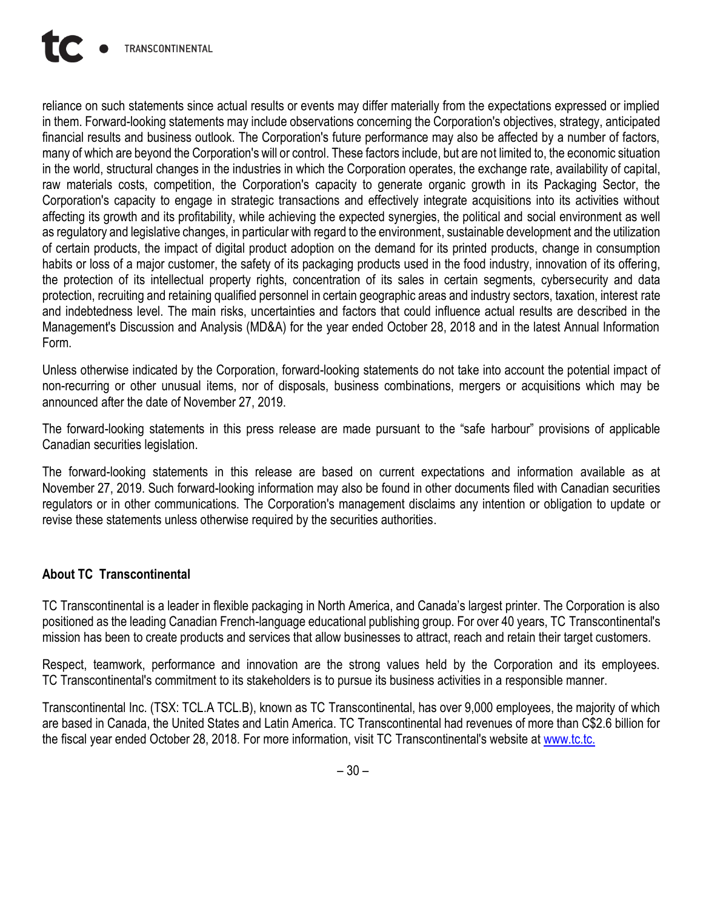reliance on such statements since actual results or events may differ materially from the expectations expressed or implied in them. Forward-looking statements may include observations concerning the Corporation's objectives, strategy, anticipated financial results and business outlook. The Corporation's future performance may also be affected by a number of factors, many of which are beyond the Corporation's will or control. These factors include, but are not limited to, the economic situation in the world, structural changes in the industries in which the Corporation operates, the exchange rate, availability of capital, raw materials costs, competition, the Corporation's capacity to generate organic growth in its Packaging Sector, the Corporation's capacity to engage in strategic transactions and effectively integrate acquisitions into its activities without affecting its growth and its profitability, while achieving the expected synergies, the political and social environment as well as regulatory and legislative changes, in particular with regard to the environment, sustainable development and the utilization of certain products, the impact of digital product adoption on the demand for its printed products, change in consumption habits or loss of a major customer, the safety of its packaging products used in the food industry, innovation of its offering, the protection of its intellectual property rights, concentration of its sales in certain segments, cybersecurity and data protection, recruiting and retaining qualified personnel in certain geographic areas and industry sectors, taxation, interest rate and indebtedness level. The main risks, uncertainties and factors that could influence actual results are described in the Management's Discussion and Analysis (MD&A) for the year ended October 28, 2018 and in the latest Annual Information Form.

Unless otherwise indicated by the Corporation, forward-looking statements do not take into account the potential impact of non-recurring or other unusual items, nor of disposals, business combinations, mergers or acquisitions which may be announced after the date of November 27, 2019.

The forward-looking statements in this press release are made pursuant to the "safe harbour" provisions of applicable Canadian securities legislation.

The forward-looking statements in this release are based on current expectations and information available as at November 27, 2019. Such forward-looking information may also be found in other documents filed with Canadian securities regulators or in other communications. The Corporation's management disclaims any intention or obligation to update or revise these statements unless otherwise required by the securities authorities.

## **About TC Transcontinental**

TC Transcontinental is a leader in flexible packaging in North America, and Canada's largest printer. The Corporation is also positioned as the leading Canadian French-language educational publishing group. For over 40 years, TC Transcontinental's mission has been to create products and services that allow businesses to attract, reach and retain their target customers.

Respect, teamwork, performance and innovation are the strong values held by the Corporation and its employees. TC Transcontinental's commitment to its stakeholders is to pursue its business activities in a responsible manner.

Transcontinental Inc. (TSX: TCL.A TCL.B), known as TC Transcontinental, has over 9,000 employees, the majority of which are based in Canada, the United States and Latin America. TC Transcontinental had revenues of more than C\$2.6 billion for the fiscal year ended October 28, 2018. For more information, visit TC Transcontinental's website at [www.tc.tc.](https://tctranscontinental.com/fr)